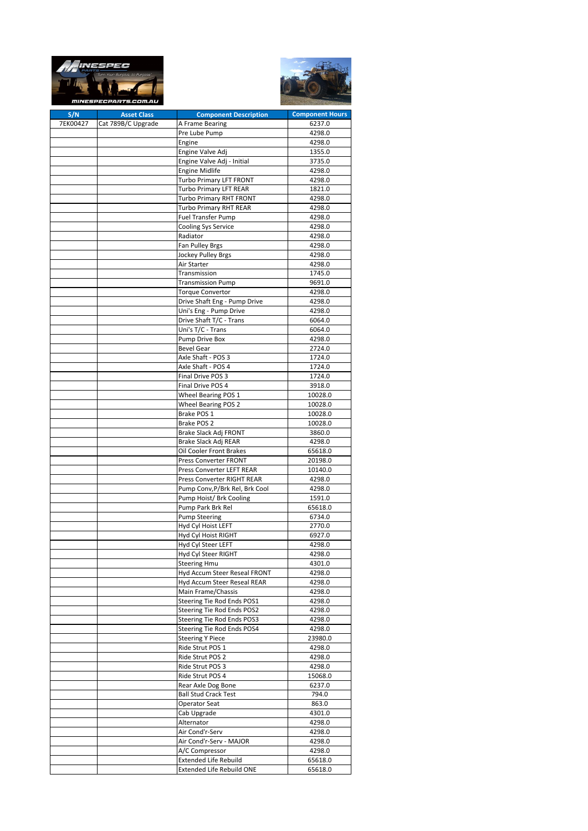|          | Your Surplus, to Purpose<br><i>mINESPECPARTS.COM.AU</i> |                                                             |                        |
|----------|---------------------------------------------------------|-------------------------------------------------------------|------------------------|
| S/N      | <b>Asset Class</b>                                      | <b>Component Description</b>                                | <b>Component Hours</b> |
| 7EK00427 | Cat 789B/C Upgrade                                      | A Frame Bearing                                             | 6237.0                 |
|          |                                                         | Pre Lube Pump                                               | 4298.0                 |
|          |                                                         | Engine                                                      | 4298.0                 |
|          |                                                         | Engine Valve Adj<br>Engine Valve Adj - Initial              | 1355.0<br>3735.0       |
|          |                                                         | <b>Engine Midlife</b>                                       | 4298.0                 |
|          |                                                         | Turbo Primary LFT FRONT                                     | 4298.0                 |
|          |                                                         | Turbo Primary LFT REAR                                      | 1821.0                 |
|          |                                                         | Turbo Primary RHT FRONT                                     | 4298.0                 |
|          |                                                         | <b>Turbo Primary RHT REAR</b>                               | 4298.0                 |
|          |                                                         | Fuel Transfer Pump                                          | 4298.0                 |
|          |                                                         | Cooling Sys Service                                         | 4298.0                 |
|          |                                                         | Radiator                                                    | 4298.0                 |
|          |                                                         | Fan Pulley Brgs                                             | 4298.0                 |
|          |                                                         | Jockey Pulley Brgs                                          | 4298.0                 |
|          |                                                         | Air Starter                                                 | 4298.0                 |
|          |                                                         | Transmission                                                | 1745.0                 |
|          |                                                         | <b>Transmission Pump</b>                                    | 9691.0                 |
|          |                                                         | <b>Torque Convertor</b>                                     | 4298.0                 |
|          |                                                         | Drive Shaft Eng - Pump Drive                                | 4298.0                 |
|          |                                                         | Uni's Eng - Pump Drive                                      | 4298.0                 |
|          |                                                         | Drive Shaft T/C - Trans                                     | 6064.0                 |
|          |                                                         | Uni's T/C - Trans                                           | 6064.0                 |
|          |                                                         | Pump Drive Box                                              | 4298.0                 |
|          |                                                         | <b>Bevel Gear</b>                                           | 2724.0                 |
|          |                                                         | Axle Shaft - POS 3<br>Axle Shaft - POS 4                    | 1724.0<br>1724.0       |
|          |                                                         | Final Drive POS 3                                           | 1724.0                 |
|          |                                                         | Final Drive POS 4                                           | 3918.0                 |
|          |                                                         | Wheel Bearing POS 1                                         | 10028.0                |
|          |                                                         | <b>Wheel Bearing POS 2</b>                                  | 10028.0                |
|          |                                                         | Brake POS 1                                                 | 10028.0                |
|          |                                                         | Brake POS 2                                                 | 10028.0                |
|          |                                                         | Brake Slack Adj FRONT                                       | 3860.0                 |
|          |                                                         | Brake Slack Adj REAR                                        | 4298.0                 |
|          |                                                         | Oil Cooler Front Brakes                                     | 65618.0                |
|          |                                                         | Press Converter FRONT                                       | 20198.0                |
|          |                                                         | <b>Press Converter LEFT REAR</b>                            | 10140.0                |
|          |                                                         | Press Converter RIGHT REAR                                  | 4298.0                 |
|          |                                                         | Pump Conv, P/Brk Rel, Brk Cool                              | 4298.0                 |
|          |                                                         | Pump Hoist/ Brk Cooling                                     | 1591.0                 |
|          |                                                         | Pump Park Brk Rel                                           | 65618.0                |
|          |                                                         | <b>Pump Steering</b>                                        | 6734.0                 |
|          |                                                         | Hyd Cyl Hoist LEFT                                          | 2770.0                 |
|          |                                                         | Hyd Cyl Hoist RIGHT                                         | 6927.0                 |
|          |                                                         | Hyd Cyl Steer LEFT                                          | 4298.0                 |
|          |                                                         | Hyd Cyl Steer RIGHT                                         | 4298.0                 |
|          |                                                         | <b>Steering Hmu</b>                                         | 4301.0                 |
|          |                                                         | Hyd Accum Steer Reseal FRONT<br>Hyd Accum Steer Reseal REAR | 4298.0<br>4298.0       |
|          |                                                         | Main Frame/Chassis                                          | 4298.0                 |
|          |                                                         | Steering Tie Rod Ends POS1                                  | 4298.0                 |
|          |                                                         | Steering Tie Rod Ends POS2                                  | 4298.0                 |
|          |                                                         | Steering Tie Rod Ends POS3                                  | 4298.0                 |
|          |                                                         | Steering Tie Rod Ends POS4                                  | 4298.0                 |
|          |                                                         | <b>Steering Y Piece</b>                                     | 23980.0                |
|          |                                                         | Ride Strut POS 1                                            | 4298.0                 |
|          |                                                         | Ride Strut POS 2                                            | 4298.0                 |
|          |                                                         | Ride Strut POS 3                                            | 4298.0                 |
|          |                                                         | Ride Strut POS 4                                            | 15068.0                |
|          |                                                         | Rear Axle Dog Bone                                          | 6237.0                 |
|          |                                                         | <b>Ball Stud Crack Test</b>                                 | 794.0                  |
|          |                                                         | <b>Operator Seat</b>                                        | 863.0                  |
|          |                                                         | Cab Upgrade                                                 | 4301.0                 |
|          |                                                         | Alternator                                                  | 4298.0                 |
|          |                                                         | Air Cond'r-Serv                                             | 4298.0                 |
|          |                                                         | Air Cond'r-Serv - MAJOR                                     | 4298.0                 |
|          |                                                         | A/C Compressor                                              | 4298.0                 |
|          |                                                         | <b>Extended Life Rebuild</b>                                | 65618.0                |
|          |                                                         | <b>Extended Life Rebuild ONE</b>                            | 65618.0                |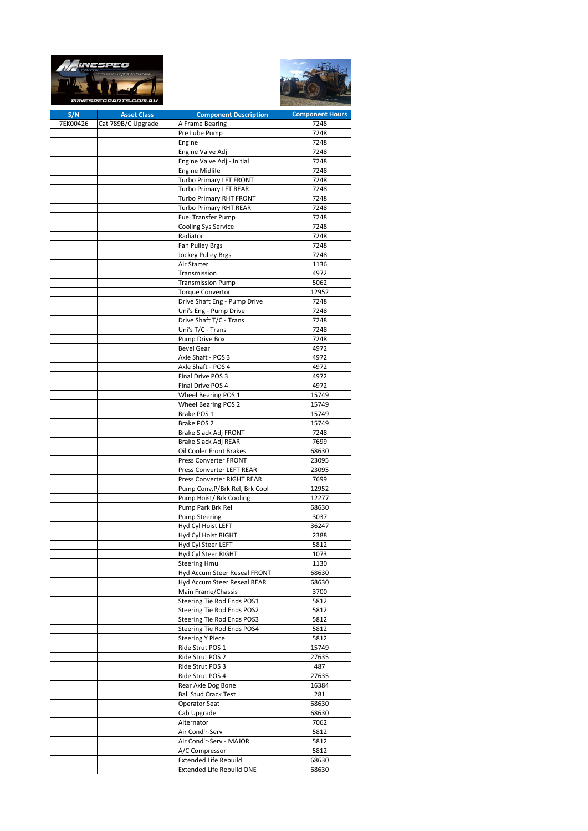|          | lus, to Purposi<br><i>MINESPECPARTS.COM.AL</i> |                                                                  |                        |
|----------|------------------------------------------------|------------------------------------------------------------------|------------------------|
| S/N      | <b>Asset Class</b>                             | <b>Component Description</b>                                     | <b>Component Hours</b> |
| 7EK00426 | Cat 789B/C Upgrade                             | A Frame Bearing                                                  | 7248                   |
|          |                                                | Pre Lube Pump                                                    | 7248                   |
|          |                                                | Engine<br>Engine Valve Adj                                       | 7248<br>7248           |
|          |                                                | Engine Valve Adj - Initial                                       | 7248                   |
|          |                                                | <b>Engine Midlife</b>                                            | 7248                   |
|          |                                                | Turbo Primary LFT FRONT                                          | 7248                   |
|          |                                                | <b>Turbo Primary LFT REAR</b>                                    | 7248                   |
|          |                                                | Turbo Primary RHT FRONT                                          | 7248                   |
|          |                                                | <b>Turbo Primary RHT REAR</b>                                    | 7248                   |
|          |                                                | <b>Fuel Transfer Pump</b>                                        | 7248                   |
|          |                                                | Cooling Sys Service                                              | 7248                   |
|          |                                                | Radiator                                                         | 7248                   |
|          |                                                | Fan Pulley Brgs<br><b>Jockey Pulley Brgs</b>                     | 7248<br>7248           |
|          |                                                | Air Starter                                                      | 1136                   |
|          |                                                | Transmission                                                     | 4972                   |
|          |                                                | <b>Transmission Pump</b>                                         | 5062                   |
|          |                                                | <b>Torque Convertor</b>                                          | 12952                  |
|          |                                                | Drive Shaft Eng - Pump Drive                                     | 7248                   |
|          |                                                | Uni's Eng - Pump Drive                                           | 7248                   |
|          |                                                | Drive Shaft T/C - Trans                                          | 7248                   |
|          |                                                | Uni's T/C - Trans                                                | 7248                   |
|          |                                                | Pump Drive Box                                                   | 7248                   |
|          |                                                | <b>Bevel Gear</b>                                                | 4972                   |
|          |                                                | Axle Shaft - POS 3<br>Axle Shaft - POS 4                         | 4972<br>4972           |
|          |                                                | Final Drive POS 3                                                | 4972                   |
|          |                                                | Final Drive POS 4                                                | 4972                   |
|          |                                                | Wheel Bearing POS 1                                              | 15749                  |
|          |                                                | <b>Wheel Bearing POS 2</b>                                       | 15749                  |
|          |                                                | Brake POS 1                                                      | 15749                  |
|          |                                                | Brake POS 2                                                      | 15749                  |
|          |                                                | Brake Slack Adj FRONT                                            | 7248                   |
|          |                                                | Brake Slack Adj REAR                                             | 7699                   |
|          |                                                | Oil Cooler Front Brakes                                          | 68630                  |
|          |                                                | Press Converter FRONT<br>Press Converter LEFT REAR               | 23095<br>23095         |
|          |                                                | Press Converter RIGHT REAR                                       | 7699                   |
|          |                                                | Pump Conv, P/Brk Rel, Brk Cool                                   | 12952                  |
|          |                                                | Pump Hoist/ Brk Cooling                                          | 12277                  |
|          |                                                | Pump Park Brk Rel                                                | 68630                  |
|          |                                                | <b>Pump Steering</b>                                             | 3037                   |
|          |                                                | Hyd Cyl Hoist LEFT                                               | 36247                  |
|          |                                                | Hyd Cyl Hoist RIGHT                                              | 2388                   |
|          |                                                | Hyd Cyl Steer LEFT                                               | 5812                   |
|          |                                                | Hyd Cyl Steer RIGHT<br><b>Steering Hmu</b>                       | 1073<br>1130           |
|          |                                                | Hyd Accum Steer Reseal FRONT                                     | 68630                  |
|          |                                                | Hyd Accum Steer Reseal REAR                                      | 68630                  |
|          |                                                | Main Frame/Chassis                                               | 3700                   |
|          |                                                | Steering Tie Rod Ends POS1                                       | 5812                   |
|          |                                                | Steering Tie Rod Ends POS2                                       | 5812                   |
|          |                                                | Steering Tie Rod Ends POS3                                       | 5812                   |
|          |                                                | Steering Tie Rod Ends POS4                                       | 5812                   |
|          |                                                | <b>Steering Y Piece</b>                                          | 5812                   |
|          |                                                | Ride Strut POS 1                                                 | 15749<br>27635         |
|          |                                                | Ride Strut POS 2<br>Ride Strut POS 3                             | 487                    |
|          |                                                | Ride Strut POS 4                                                 | 27635                  |
|          |                                                | Rear Axle Dog Bone                                               | 16384                  |
|          |                                                | <b>Ball Stud Crack Test</b>                                      | 281                    |
|          |                                                | Operator Seat                                                    | 68630                  |
|          |                                                | Cab Upgrade                                                      | 68630                  |
|          |                                                | Alternator                                                       | 7062                   |
|          |                                                | Air Cond'r-Serv                                                  | 5812                   |
|          |                                                | Air Cond'r-Serv - MAJOR                                          | 5812                   |
|          |                                                | A/C Compressor                                                   | 5812                   |
|          |                                                | <b>Extended Life Rebuild</b><br><b>Extended Life Rebuild ONE</b> | 68630<br>68630         |
|          |                                                |                                                                  |                        |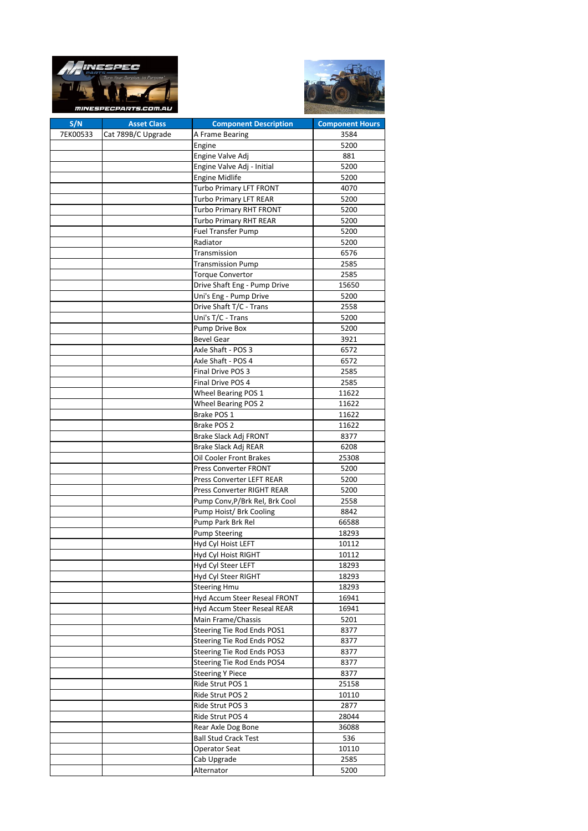



| S/N      | <b>Asset Class</b> | <b>Component Description</b>   | <b>Component Hours</b> |
|----------|--------------------|--------------------------------|------------------------|
| 7EK00533 | Cat 789B/C Upgrade | A Frame Bearing                | 3584                   |
|          |                    | Engine                         | 5200                   |
|          |                    | Engine Valve Adj               | 881                    |
|          |                    | Engine Valve Adj - Initial     | 5200                   |
|          |                    | <b>Engine Midlife</b>          | 5200                   |
|          |                    | <b>Turbo Primary LFT FRONT</b> | 4070                   |
|          |                    | <b>Turbo Primary LFT REAR</b>  | 5200                   |
|          |                    | <b>Turbo Primary RHT FRONT</b> | 5200                   |
|          |                    | <b>Turbo Primary RHT REAR</b>  | 5200                   |
|          |                    |                                | 5200                   |
|          |                    | <b>Fuel Transfer Pump</b>      |                        |
|          |                    | Radiator                       | 5200                   |
|          |                    | Transmission                   | 6576                   |
|          |                    | <b>Transmission Pump</b>       | 2585                   |
|          |                    | <b>Torque Convertor</b>        | 2585                   |
|          |                    | Drive Shaft Eng - Pump Drive   | 15650                  |
|          |                    | Uni's Eng - Pump Drive         | 5200                   |
|          |                    | Drive Shaft T/C - Trans        | 2558                   |
|          |                    | Uni's T/C - Trans              | 5200                   |
|          |                    | Pump Drive Box                 | 5200                   |
|          |                    | <b>Bevel Gear</b>              | 3921                   |
|          |                    | Axle Shaft - POS 3             | 6572                   |
|          |                    | Axle Shaft - POS 4             | 6572                   |
|          |                    | Final Drive POS 3              | 2585                   |
|          |                    | Final Drive POS 4              | 2585                   |
|          |                    | Wheel Bearing POS 1            | 11622                  |
|          |                    | Wheel Bearing POS 2            | 11622                  |
|          |                    | Brake POS 1                    | 11622                  |
|          |                    | Brake POS 2                    | 11622                  |
|          |                    | Brake Slack Adj FRONT          | 8377                   |
|          |                    | Brake Slack Adj REAR           | 6208                   |
|          |                    | Oil Cooler Front Brakes        | 25308                  |
|          |                    | Press Converter FRONT          | 5200                   |
|          |                    | Press Converter LEFT REAR      | 5200                   |
|          |                    | Press Converter RIGHT REAR     | 5200                   |
|          |                    | Pump Conv, P/Brk Rel, Brk Cool | 2558                   |
|          |                    | Pump Hoist/ Brk Cooling        | 8842                   |
|          |                    | Pump Park Brk Rel              |                        |
|          |                    |                                | 66588                  |
|          |                    | <b>Pump Steering</b>           | 18293                  |
|          |                    | Hyd Cyl Hoist LEFT             | 10112                  |
|          |                    | Hyd Cyl Hoist RIGHT            | 10112                  |
|          |                    | Hyd Cyl Steer LEFT             | 18293                  |
|          |                    | Hyd Cyl Steer RIGHT            | 18293                  |
|          |                    | <b>Steering Hmu</b>            | 18293                  |
|          |                    | Hyd Accum Steer Reseal FRONT   | 16941                  |
|          |                    | Hyd Accum Steer Reseal REAR    | 16941                  |
|          |                    | Main Frame/Chassis             | 5201                   |
|          |                    | Steering Tie Rod Ends POS1     | 8377                   |
|          |                    | Steering Tie Rod Ends POS2     | 8377                   |
|          |                    | Steering Tie Rod Ends POS3     | 8377                   |
|          |                    | Steering Tie Rod Ends POS4     | 8377                   |
|          |                    | <b>Steering Y Piece</b>        | 8377                   |
|          |                    | Ride Strut POS 1               | 25158                  |
|          |                    | Ride Strut POS 2               | 10110                  |
|          |                    | Ride Strut POS 3               | 2877                   |
|          |                    | Ride Strut POS 4               | 28044                  |
|          |                    | Rear Axle Dog Bone             | 36088                  |
|          |                    | <b>Ball Stud Crack Test</b>    | 536                    |
|          |                    | <b>Operator Seat</b>           | 10110                  |
|          |                    | Cab Upgrade                    | 2585                   |
|          |                    | Alternator                     | 5200                   |
|          |                    |                                |                        |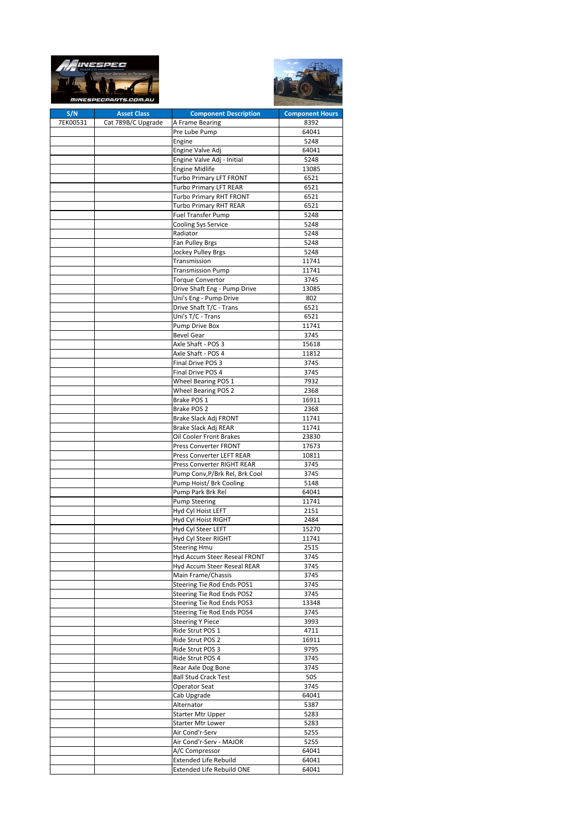|          | TN 3523<br><i>mINESPECPARTS.COM</i> |                                                            |                        |
|----------|-------------------------------------|------------------------------------------------------------|------------------------|
| S/N      | <b>Asset Class</b>                  | <b>Component Description</b>                               | <b>Component Hours</b> |
| 7EK00531 | Cat 789B/C Upgrade                  | A Frame Bearing                                            | 8392                   |
|          |                                     | Pre Lube Pump<br>Engine                                    | 64041<br>5248          |
|          |                                     | Engine Valve Adj                                           | 64041                  |
|          |                                     | Engine Valve Adj - Initial                                 | 5248                   |
|          |                                     | <b>Engine Midlife</b>                                      | 13085                  |
|          |                                     | Turbo Primary LFT FRONT                                    | 6521                   |
|          |                                     | <b>Turbo Primary LFT REAR</b>                              | 6521                   |
|          |                                     | Turbo Primary RHT FRONT                                    | 6521                   |
|          |                                     | <b>Turbo Primary RHT REAR</b><br><b>Fuel Transfer Pump</b> | 6521<br>5248           |
|          |                                     | <b>Cooling Sys Service</b>                                 | 5248                   |
|          |                                     | Radiator                                                   | 5248                   |
|          |                                     | Fan Pulley Brgs                                            | 5248                   |
|          |                                     | Jockey Pulley Brgs                                         | 5248                   |
|          |                                     | Transmission                                               | 11741                  |
|          |                                     | <b>Transmission Pump</b>                                   | 11741<br>3745          |
|          |                                     | <b>Torque Convertor</b><br>Drive Shaft Eng - Pump Drive    | 13085                  |
|          |                                     | Uni's Eng - Pump Drive                                     | 802                    |
|          |                                     | Drive Shaft T/C - Trans                                    | 6521                   |
|          |                                     | Uni's T/C - Trans                                          | 6521                   |
|          |                                     | Pump Drive Box                                             | 11741                  |
|          |                                     | <b>Bevel Gear</b>                                          | 3745                   |
|          |                                     | Axle Shaft - POS 3                                         | 15618                  |
|          |                                     | Axle Shaft - POS 4<br>Final Drive POS 3                    | 11812<br>3745          |
|          |                                     | Final Drive POS 4                                          | 3745                   |
|          |                                     | Wheel Bearing POS 1                                        | 7932                   |
|          |                                     | <b>Wheel Bearing POS 2</b>                                 | 2368                   |
|          |                                     | Brake POS 1                                                | 16911                  |
|          |                                     | Brake POS 2                                                | 2368                   |
|          |                                     | Brake Slack Adj FRONT                                      | 11741                  |
|          |                                     | Brake Slack Adj REAR<br>Oil Cooler Front Brakes            | 11741<br>23830         |
|          |                                     | <b>Press Converter FRONT</b>                               | 17673                  |
|          |                                     | Press Converter LEFT REAR                                  | 10811                  |
|          |                                     | Press Converter RIGHT REAR                                 | 3745                   |
|          |                                     | Pump Conv, P/Brk Rel, Brk Cool                             | 3745                   |
|          |                                     | Pump Hoist/ Brk Cooling                                    | 5148                   |
|          |                                     | Pump Park Brk Rel                                          | 64041                  |
|          |                                     | Pump Steering<br>Hyd Cyl Hoist LEFT                        | 11741<br>2151          |
|          |                                     | Hyd Cyl Hoist RIGHT                                        | 2484                   |
|          |                                     | Hyd Cyl Steer LEFT                                         | 15270                  |
|          |                                     | Hyd Cyl Steer RIGHT                                        | 11741                  |
|          |                                     | <b>Steering Hmu</b>                                        | 2515                   |
|          |                                     | Hyd Accum Steer Reseal FRONT                               | 3745                   |
|          |                                     | Hyd Accum Steer Reseal REAR                                | 3745                   |
|          |                                     | Main Frame/Chassis<br>Steering Tie Rod Ends POS1           | 3745<br>3745           |
|          |                                     | Steering Tie Rod Ends POS2                                 | 3745                   |
|          |                                     | Steering Tie Rod Ends POS3                                 | 13348                  |
|          |                                     | Steering Tie Rod Ends POS4                                 | 3745                   |
|          |                                     | <b>Steering Y Piece</b>                                    | 3993                   |
|          |                                     | Ride Strut POS 1                                           | 4711                   |
|          |                                     | Ride Strut POS 2                                           | 16911                  |
|          |                                     | Ride Strut POS 3<br>Ride Strut POS 4                       | 9795<br>3745           |
|          |                                     | Rear Axle Dog Bone                                         | 3745                   |
|          |                                     | <b>Ball Stud Crack Test</b>                                | 505                    |
|          |                                     | <b>Operator Seat</b>                                       | 3745                   |
|          |                                     | Cab Upgrade                                                | 64041                  |
|          |                                     | Alternator                                                 | 5387                   |
|          |                                     | <b>Starter Mtr Upper</b>                                   | 5283                   |
|          |                                     | Starter Mtr Lower                                          | 5283<br>5255           |
|          |                                     | Air Cond'r-Serv<br>Air Cond'r-Serv - MAJOR                 | 5255                   |
|          |                                     | A/C Compressor                                             | 64041                  |
|          |                                     | Extended Life Rebuild                                      | 64041                  |
|          |                                     | Extended Life Rebuild ONE                                  | 64041                  |